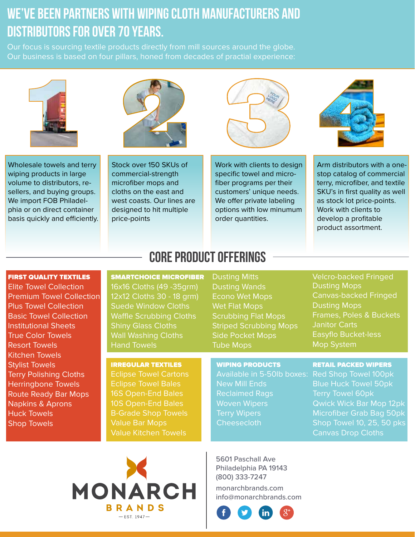# We've been partners with wiping cloth manufacturers and distributors for over 70 years.

Our focus is sourcing textile products directly from mill sources around the globe. Our business is based on four pillars, honed from decades of practial experience:





Wholesale towels and terry wiping products in large volume to distributors, resellers, and buying groups. We import FOB Philadelphia or on direct container basis quickly and efficiently.

Stock over 150 SKUs of commercial-strength microfiber mops and cloths on the east and west coasts. Our lines are designed to hit multiple price-points





Work with clients to design specific towel and microfiber programs per their customers' unique needs. We offer private labeling options with low minumum order quantities.

Arm distributors with a onestop catalog of commercial terry, microfiber, and textile SKU's in first quality as well as stock lot price-points. Work with clients to develop a profitable product assortment.

### FIRST QUALITY TEXTILES

Elite Towel Collection Premium Towel Collection Plus Towel Collection Basic Towel Collection Institutional Sheets True Color Towels Resort Towels Kitchen Towels Stylist Towels Terry Polishing Cloths Herringbone Towels Route Ready Bar Mops Napkins & Aprons Huck Towels Shop Towels

## CORE PRODUCT OFFERINGS

SMARTCHOICE MICROFIBER 16x16 Cloths (49 -35grm) 12x12 Cloths 30 - 18 grm) Suede Window Cloths Waffle Scrubbing Cloths Shiny Glass Cloths Wall Washing Cloths Hand Towels

IRREGULAR TEXTILES Eclipse Towel Cartons Eclipse Towel Bales 16S Open-End Bales 10S Open-End Bales B-Grade Shop Towels Value Bar Mops Value Kitchen Towels

### Scrubbing Flat Mops Striped Scrubbing Mops Side Pocket Mops Tube Mops

Dusting Mitts Dusting Wands Econo Wet Mops Wet Flat Mops

WIPING PRODUCTS

Velcro-backed Fringed Dusting Mops Canvas-backed Fringed Dusting Mops Frames, Poles & Buckets Janitor Carts Easyflo Bucket-less Mop System

#### RETAIL PACKED WIPERS

Available in 5-50lb boxes: New Mill Ends Reclaimed Rags Woven Wipers Terry Wipers **Cheesecloth** 

Red Shop Towel 100pk Blue Huck Towel 50pk Terry Towel 60pk Qwick Wick Bar Mop 12pk Microfiber Grab Bag 50pk



5601 Paschall Ave Philadelphia PA 19143 (800) 333-7247

monarchbrands.com info@monarchbrands.com